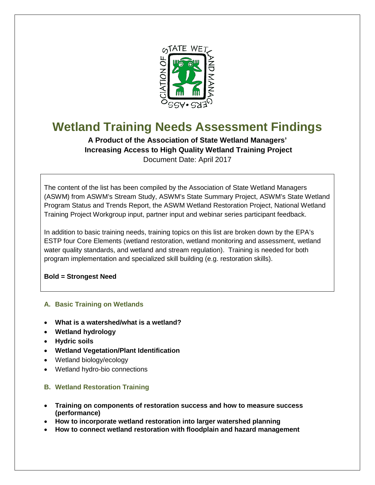

# **Wetland Training Needs Assessment Findings**

**A Product of the Association of State Wetland Managers' Increasing Access to High Quality Wetland Training Project** Document Date: April 2017

The content of the list has been compiled by the Association of State Wetland Managers (ASWM) from ASWM's Stream Study, ASWM's State Summary Project, ASWM's State Wetland Program Status and Trends Report, the ASWM Wetland Restoration Project, National Wetland Training Project Workgroup input, partner input and webinar series participant feedback.

In addition to basic training needs, training topics on this list are broken down by the EPA's ESTP four Core Elements (wetland restoration, wetland monitoring and assessment, wetland water quality standards, and wetland and stream regulation). Training is needed for both program implementation and specialized skill building (e.g. restoration skills).

**Bold = Strongest Need**

## **A. Basic Training on Wetlands**

- **What is a watershed/what is a wetland?**
- **Wetland hydrology**
- **Hydric soils**
- **Wetland Vegetation/Plant Identification**
- Wetland biology/ecology
- Wetland hydro-bio connections

## **B. Wetland Restoration Training**

- **Training on components of restoration success and how to measure success (performance)**
- **How to incorporate wetland restoration into larger watershed planning**
- **How to connect wetland restoration with floodplain and hazard management**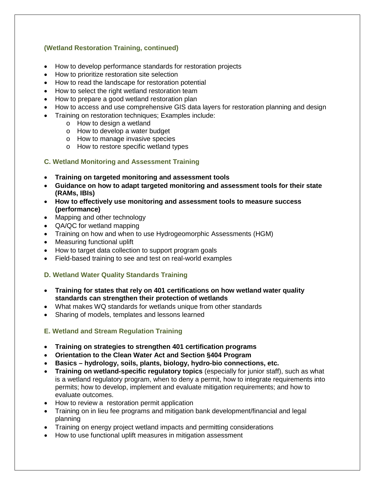## **(Wetland Restoration Training, continued)**

- How to develop performance standards for restoration projects
- How to prioritize restoration site selection
- How to read the landscape for restoration potential
- How to select the right wetland restoration team
- How to prepare a good wetland restoration plan
- How to access and use comprehensive GIS data layers for restoration planning and design
- Training on restoration techniques; Examples include:
	- o How to design a wetland
	- o How to develop a water budget
	- o How to manage invasive species
	- o How to restore specific wetland types

#### **C. Wetland Monitoring and Assessment Training**

- **Training on targeted monitoring and assessment tools**
- **Guidance on how to adapt targeted monitoring and assessment tools for their state (RAMs, IBIs)**
- **How to effectively use monitoring and assessment tools to measure success (performance)**
- Mapping and other technology
- QA/QC for wetland mapping
- Training on how and when to use Hydrogeomorphic Assessments (HGM)
- Measuring functional uplift
- How to target data collection to support program goals
- Field-based training to see and test on real-world examples

#### **D. Wetland Water Quality Standards Training**

- **Training for states that rely on 401 certifications on how wetland water quality standards can strengthen their protection of wetlands**
- What makes WQ standards for wetlands unique from other standards
- Sharing of models, templates and lessons learned

#### **E. Wetland and Stream Regulation Training**

- **Training on strategies to strengthen 401 certification programs**
- **Orientation to the Clean Water Act and Section §404 Program**
- **Basics – hydrology, soils, plants, biology, hydro-bio connections, etc.**
- **Training on wetland-specific regulatory topics** (especially for junior staff), such as what is a wetland regulatory program, when to deny a permit, how to integrate requirements into permits; how to develop, implement and evaluate mitigation requirements; and how to evaluate outcomes.
- How to review a restoration permit application
- Training on in lieu fee programs and mitigation bank development/financial and legal planning
- Training on energy project wetland impacts and permitting considerations
- How to use functional uplift measures in mitigation assessment